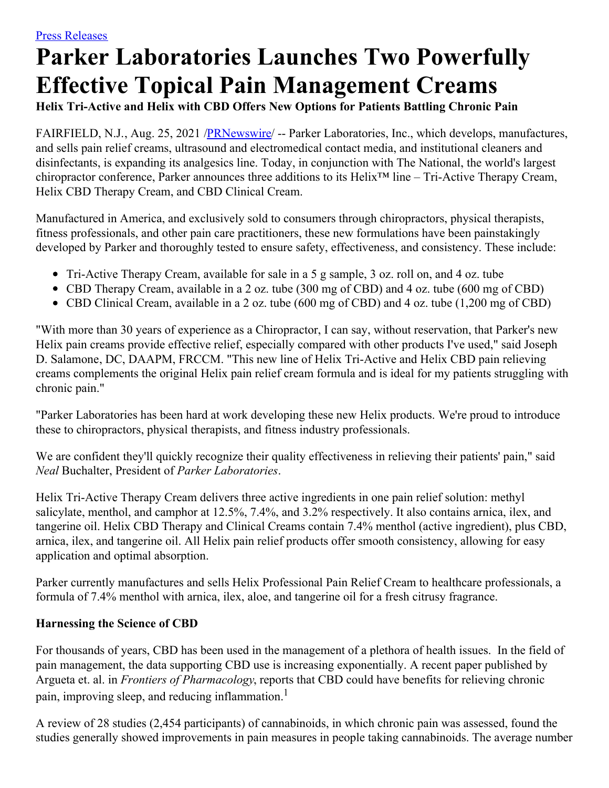## **Parker Laboratories Launches Two Powerfully Effective Topical Pain Management Creams**

**Helix Tri-Active and Helix with CBD Offers New Options for Patients Battling Chronic Pain**

FAIRFIELD, N.J., Aug. 25, 2021 [/PRNewswire](http://www.prnewswire.com/)/ -- Parker Laboratories, Inc., which develops, manufactures, and sells pain relief creams, ultrasound and electromedical contact media, and institutional cleaners and disinfectants, is expanding its analgesics line. Today, in conjunction with The National, the world's largest chiropractor conference, Parker announces three additions to its Helix™ line – Tri-Active Therapy Cream, Helix CBD Therapy Cream, and CBD Clinical Cream.

Manufactured in America, and exclusively sold to consumers through chiropractors, physical therapists, fitness professionals, and other pain care practitioners, these new formulations have been painstakingly developed by Parker and thoroughly tested to ensure safety, effectiveness, and consistency. These include:

- Tri-Active Therapy Cream, available for sale in a 5 g sample, 3 oz. roll on, and 4 oz. tube
- CBD Therapy Cream, available in a 2 oz. tube (300 mg of CBD) and 4 oz. tube (600 mg of CBD)
- CBD Clinical Cream, available in a 2 oz. tube (600 mg of CBD) and 4 oz. tube (1,200 mg of CBD)

"With more than 30 years of experience as a Chiropractor, I can say, without reservation, that Parker's new Helix pain creams provide effective relief, especially compared with other products I've used," said Joseph D. Salamone, DC, DAAPM, FRCCM. "This new line of Helix Tri-Active and Helix CBD pain relieving creams complements the original Helix pain relief cream formula and is ideal for my patients struggling with chronic pain."

"Parker Laboratories has been hard at work developing these new Helix products. We're proud to introduce these to chiropractors, physical therapists, and fitness industry professionals.

We are confident they'll quickly recognize their quality effectiveness in relieving their patients' pain," said *Neal* Buchalter, President of *Parker Laboratories*.

Helix Tri-Active Therapy Cream delivers three active ingredients in one pain relief solution: methyl salicylate, menthol, and camphor at 12.5%, 7.4%, and 3.2% respectively. It also contains arnica, ilex, and tangerine oil. Helix CBD Therapy and Clinical Creams contain 7.4% menthol (active ingredient), plus CBD, arnica, ilex, and tangerine oil. All Helix pain relief products offer smooth consistency, allowing for easy application and optimal absorption.

Parker currently manufactures and sells Helix Professional Pain Relief Cream to healthcare professionals, a formula of 7.4% menthol with arnica, ilex, aloe, and tangerine oil for a fresh citrusy fragrance.

## **Harnessing the Science of CBD**

For thousands of years, CBD has been used in the management of a plethora of health issues. In the field of pain management, the data supporting CBD use is increasing exponentially. A recent paper published by Argueta et. al. in *Frontiers of Pharmacology*, reports that CBD could have benefits for relieving chronic pain, improving sleep, and reducing inflammation.<sup>1</sup>

A review of 28 studies (2,454 participants) of cannabinoids, in which chronic pain was assessed, found the studies generally showed improvements in pain measures in people taking cannabinoids. The average number